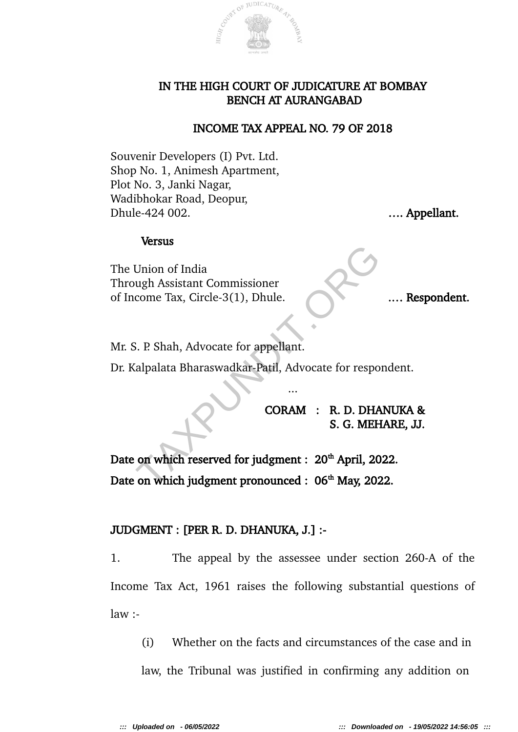

### IN THE HIGH COURT OF JUDICATURE AT BOMBAY BENCH AT AURANGABAD

### INCOME TAX APPEAL NO. 79 OF 2018

Souvenir Developers (I) Pvt. Ltd. Shop No. 1, Animesh Apartment, Plot No. 3, Janki Nagar, Wadibhokar Road, Deopur, Dhule-424 002. **Example 124 002. Example 124 002. Example 124 002. Example 124 002.** 

#### Versus

The Union of India Through Assistant Commissioner of Income Tax, Circle-3(1), Dhule. .... Respondent.

Mr. S. P. Shah, Advocate for appellant.

Dr. Kalpalata Bharaswadkar-Patil, Advocate for respondent.

...

CORAM : R. D. DHANUKA & S. G. MEHARE, JJ.

Date on which reserved for judgment : 20<sup>th</sup> April, 2022. Date on which judgment pronounced :  $06<sup>th</sup>$  May, 2022. Union of India<br>
ugh Assistant Commissioner<br>
come Tax, Circle-3(1), Dhule.<br>
...<br>
... P. Shah, Advocate for appellant.<br>
...<br>
...<br>
...<br>
CORAM : R. D. DHA<br>
S. G. MEH<br>
on which reserved for judgment : 20<sup>th</sup> April, 20<br>
on which

# JUDGMENT : [PER R. D. DHANUKA, J.] :-

1. The appeal by the assessee under section 260-A of the Income Tax Act, 1961 raises the following substantial questions of  $law:$ 

(i) Whether on the facts and circumstances of the case and in law, the Tribunal was justified in confirming any addition on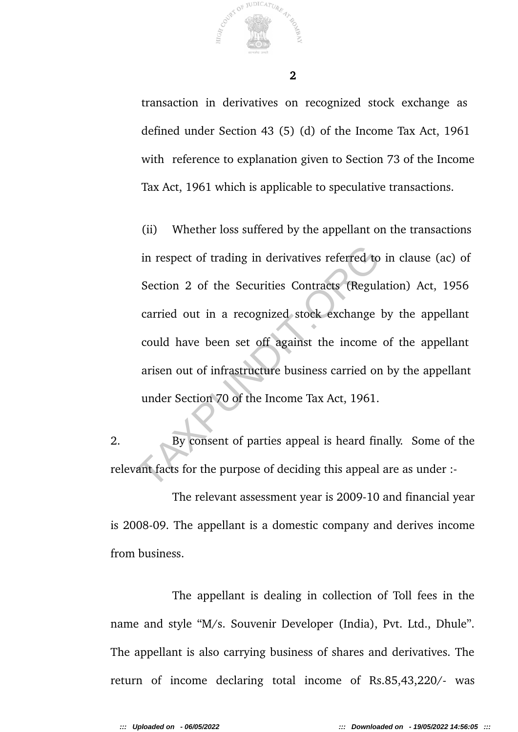

transaction in derivatives on recognized stock exchange as defined under Section 43 (5) (d) of the Income Tax Act, 1961 with reference to explanation given to Section 73 of the Income Tax Act, 1961 which is applicable to speculative transactions.

(ii) Whether loss suffered by the appellant on the transactions in respect of trading in derivatives referred to in clause (ac) of Section 2 of the Securities Contracts (Regulation) Act, 1956 carried out in a recognized stock exchange by the appellant could have been set off against the income of the appellant arisen out of infrastructure business carried on by the appellant under Section 70 of the Income Tax Act, 1961. in respect of trading in derivatives referred to<br>Section 2 of the Securities Contracts (Regul<br>carried out in a recognized stock exchange<br>could have been set off against the income<br>arisen out of infrastructure business carr

2. By consent of parties appeal is heard finally. Some of the relevant facts for the purpose of deciding this appeal are as under :-

The relevant assessment year is 2009-10 and financial year is 2008-09. The appellant is a domestic company and derives income from business.

The appellant is dealing in collection of Toll fees in the name and style "M/s. Souvenir Developer (India), Pvt. Ltd., Dhule". The appellant is also carrying business of shares and derivatives. The return of income declaring total income of Rs.85,43,220/- was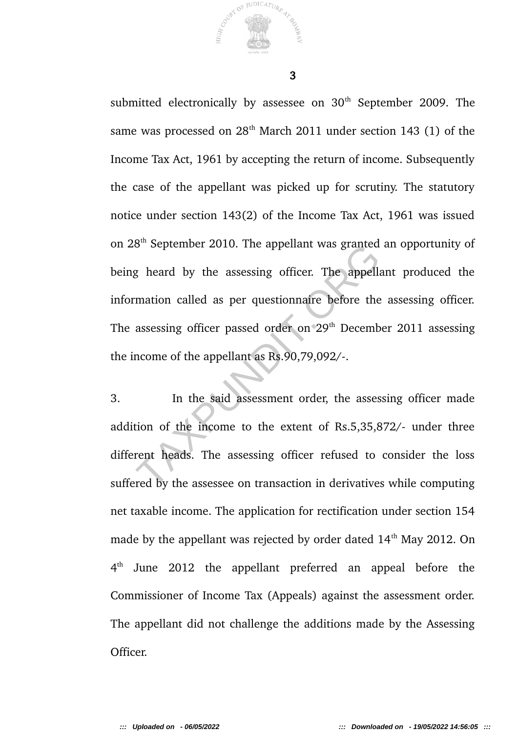submitted electronically by assessee on 30<sup>th</sup> September 2009. The same was processed on  $28<sup>th</sup>$  March 2011 under section 143 (1) of the Income Tax Act, 1961 by accepting the return of income. Subsequently the case of the appellant was picked up for scrutiny. The statutory notice under section 143(2) of the Income Tax Act, 1961 was issued on 28th September 2010. The appellant was granted an opportunity of being heard by the assessing officer. The appellant produced the information called as per questionnaire before the assessing officer. The assessing officer passed order on 29<sup>th</sup> December 2011 assessing the income of the appellant as Rs.90,79,092/-. by the assessing officer. The appellant was granted<br>g heard by the assessing officer. The appellant<br>mation called as per questionnaire before the<br>assessing officer passed order on 29<sup>th</sup> Decemb<br>ncome of the appellant as Rs

3. In the said assessment order, the assessing officer made addition of the income to the extent of Rs.5,35,872/- under three different heads. The assessing officer refused to consider the loss suffered by the assessee on transaction in derivatives while computing net taxable income. The application for rectification under section 154 made by the appellant was rejected by order dated  $14<sup>th</sup>$  May 2012. On  $4<sup>th</sup>$ June 2012 the appellant preferred an appeal before the Commissioner of Income Tax (Appeals) against the assessment order. The appellant did not challenge the additions made by the Assessing Officer.

JUDICATUR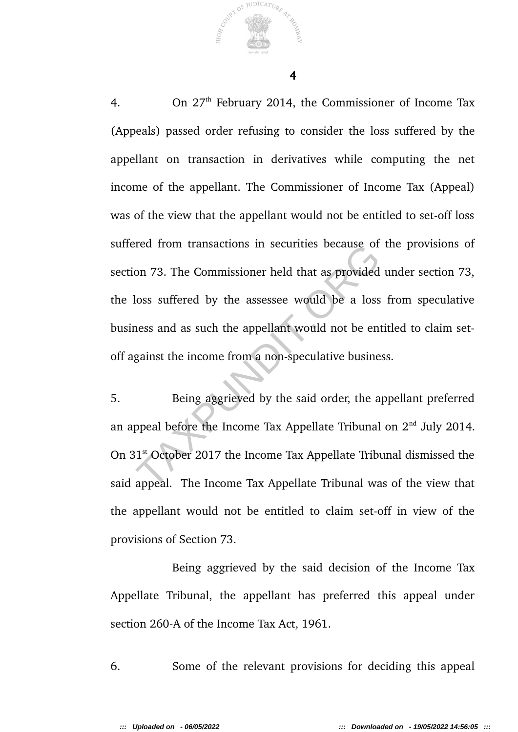4. On 27<sup>th</sup> February 2014, the Commissioner of Income Tax (Appeals) passed order refusing to consider the loss suffered by the appellant on transaction in derivatives while computing the net income of the appellant. The Commissioner of Income Tax (Appeal) was of the view that the appellant would not be entitled to set-off loss suffered from transactions in securities because of the provisions of section 73. The Commissioner held that as provided under section 73, the loss suffered by the assessee would be a loss from speculative business and as such the appellant would not be entitled to claim setoff against the income from a non-speculative business. Fractional transactions in securities because of<br>on 73. The Commissioner held that as provided<br>loss suffered by the assessee would be a loss<br>ness and as such the appellant would not be en<br>gainst the income from a non-specu

5. Being aggrieved by the said order, the appellant preferred an appeal before the Income Tax Appellate Tribunal on  $2<sup>nd</sup>$  July 2014. On 31<sup>st</sup> October 2017 the Income Tax Appellate Tribunal dismissed the said appeal. The Income Tax Appellate Tribunal was of the view that the appellant would not be entitled to claim set-off in view of the provisions of Section 73.

Being aggrieved by the said decision of the Income Tax Appellate Tribunal, the appellant has preferred this appeal under section 260-A of the Income Tax Act, 1961.

6. Some of the relevant provisions for deciding this appeal

JUDICATUR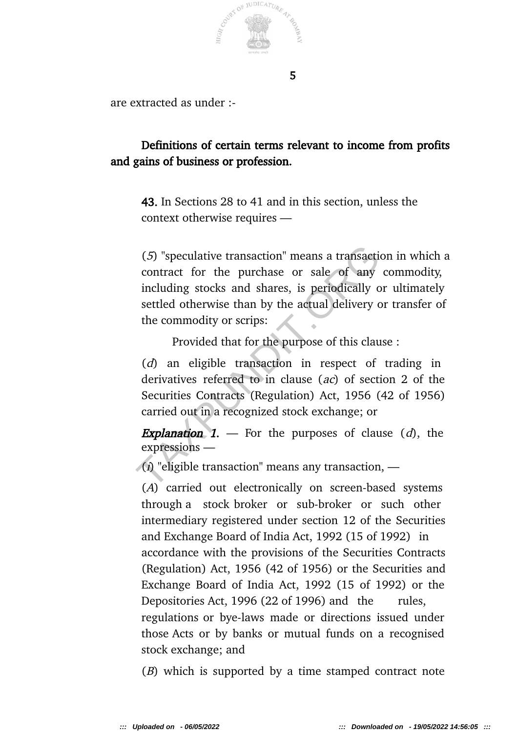

are extracted as under :-

# Definitions of certain terms relevant to income from profits and gains of business or profession.

43. In Sections 28 to 41 and in this section, unless the context otherwise requires —

(5) "speculative transaction" means a transaction in which a contract for the purchase or sale of any commodity, including stocks and shares, is periodically or ultimately settled otherwise than by the actual delivery or transfer of the commodity or scrips: (5) "speculative transaction" means a transacti<br>contract for the purchase or sale of any<br>including stocks and shares, is periodically c<br>settled otherwise than by the actual delivery of<br>the commodity or scrips:<br>Provided th

Provided that for the purpose of this clause :

(d) an eligible transaction in respect of trading in derivatives referred to in clause (ac) of section 2 of the Securities Contracts (Regulation) Act, 1956 (42 of 1956) carried out in a recognized stock exchange; or

**Explanation 1.** — For the purposes of clause  $(d)$ , the expressions —

 $\langle i \rangle$  "eligible transaction" means any transaction, —

(A) carried out electronically on screen-based systems through a stock broker or sub-broker or such other intermediary registered under section 12 of the Securities and Exchange Board of India Act, 1992 (15 of 1992) in accordance with the provisions of the Securities Contracts (Regulation) Act, 1956 (42 of 1956) or the Securities and Exchange Board of India Act, 1992 (15 of 1992) or the Depositories Act, 1996 (22 of 1996) and the rules, regulations or bye-laws made or directions issued under those Acts or by banks or mutual funds on a recognised stock exchange; and

(B) which is supported by a time stamped contract note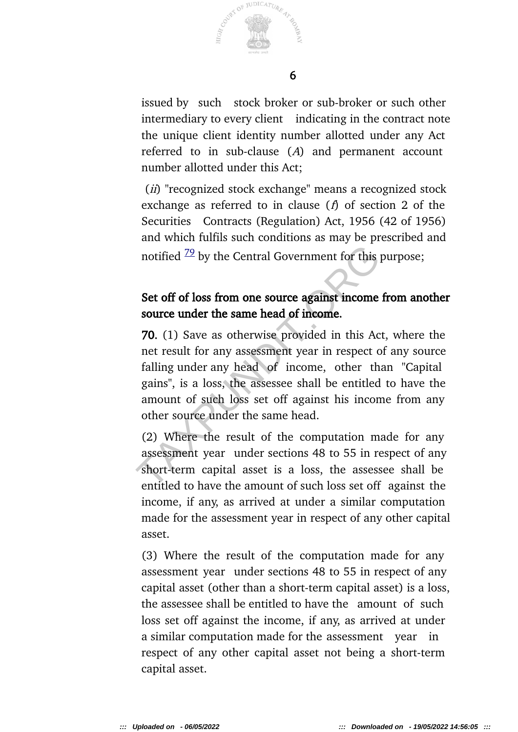

issued by such stock broker or sub-broker or such other intermediary to every client indicating in the contract note the unique client identity number allotted under any Act referred to in sub-clause (A) and permanent account number allotted under this Act;

(ii) "recognized stock exchange" means a recognized stock exchange as referred to in clause  $(f)$  of section 2 of the Securities Contracts (Regulation) Act, 1956 (42 of 1956) and which fulfils such conditions as may be prescribed and notified  $\frac{79}{2}$  by the Central Government for this purpose;

# Set off of loss from one source against income from another source under the same head of income.

70. (1) Save as otherwise provided in this Act, where the net result for any assessment year in respect of any source falling under any head of income, other than "Capital gains", is a loss, the assessee shall be entitled to have the amount of such loss set off against his income from any other source under the same head. notified  $\frac{79}{2}$  by the Central Government for this<br>Set off of loss from one source against income<br>source under the same head of income.<br>70. (1) Save as otherwise provided in this Ac<br>net result for any assessment year

(2) Where the result of the computation made for any assessment year under sections 48 to 55 in respect of any short-term capital asset is a loss, the assessee shall be entitled to have the amount of such loss set off against the income, if any, as arrived at under a similar computation made for the assessment year in respect of any other capital asset.

(3) Where the result of the computation made for any assessment year under sections 48 to 55 in respect of any capital asset (other than a short-term capital asset) is a loss, the assessee shall be entitled to have the amount of such loss set off against the income, if any, as arrived at under a similar computation made for the assessment year in respect of any other capital asset not being a short-term capital asset.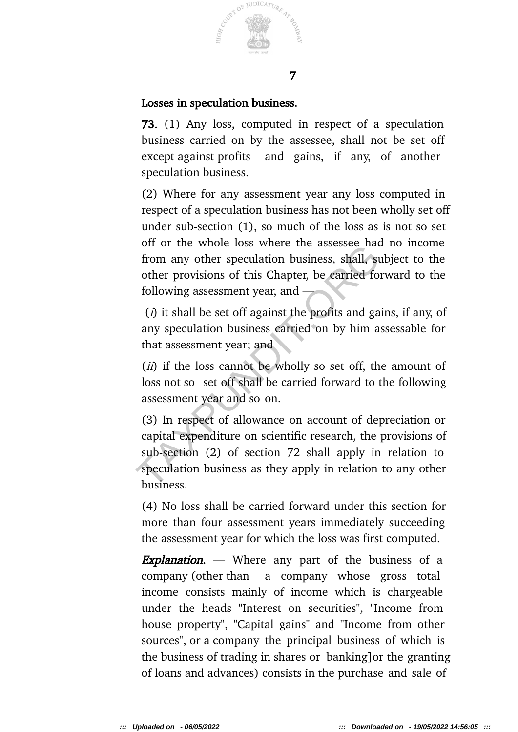

### Losses in speculation business.

73. (1) Any loss, computed in respect of a speculation business carried on by the assessee, shall not be set off except against profits and gains, if any, of another speculation business.

(2) Where for any assessment year any loss computed in respect of a speculation business has not been wholly set off under sub-section (1), so much of the loss as is not so set off or the whole loss where the assessee had no income from any other speculation business, shall, subject to the other provisions of this Chapter, be carried forward to the following assessment year, and —

 $(i)$  it shall be set off against the profits and gains, if any, of any speculation business carried on by him assessable for that assessment year; and

(*ii*) if the loss cannot be wholly so set off, the amount of loss not so set off shall be carried forward to the following assessment year and so on.

(3) In respect of allowance on account of depreciation or capital expenditure on scientific research, the provisions of sub-section (2) of section 72 shall apply in relation to speculation business as they apply in relation to any other business. of of the whole loss where the assessee had<br>from any other speculation business, shall, st<br>other provisions of this Chapter, be carried fo<br>following assessment year, and<br>(*i*) it shall be set off against the profits and ga

(4) No loss shall be carried forward under this section for more than four assessment years immediately succeeding the assessment year for which the loss was first computed.

**Explanation.** — Where any part of the business of a company (other than a company whose gross total income consists mainly of income which is chargeable under the heads "Interest on securities", "Income from house property", "Capital gains" and "Income from other sources", or a company the principal business of which is the business of trading in shares or banking]or the granting of loans and advances) consists in the purchase and sale of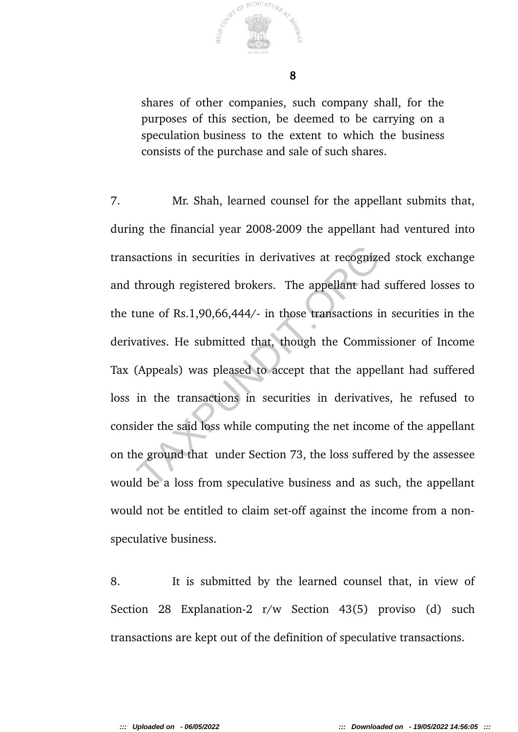

shares of other companies, such company shall, for the purposes of this section, be deemed to be carrying on a speculation business to the extent to which the business consists of the purchase and sale of such shares.

7. Mr. Shah, learned counsel for the appellant submits that, during the financial year 2008-2009 the appellant had ventured into transactions in securities in derivatives at recognized stock exchange and through registered brokers. The appellant had suffered losses to the tune of Rs.1,90,66,444/- in those transactions in securities in the derivatives. He submitted that, though the Commissioner of Income Tax (Appeals) was pleased to accept that the appellant had suffered loss in the transactions in securities in derivatives, he refused to consider the said loss while computing the net income of the appellant on the ground that under Section 73, the loss suffered by the assessee would be a loss from speculative business and as such, the appellant would not be entitled to claim set-off against the income from a nonspeculative business. sactions in securities in derivatives at recognize<br>through registered brokers. The appellant had<br>une of Rs.1,90,66,444/- in those transactions is<br>vatives. He submitted that, though the Commi<br>(Appeals) was pleased to accept

8. It is submitted by the learned counsel that, in view of Section 28 Explanation-2 r/w Section 43(5) proviso (d) such transactions are kept out of the definition of speculative transactions.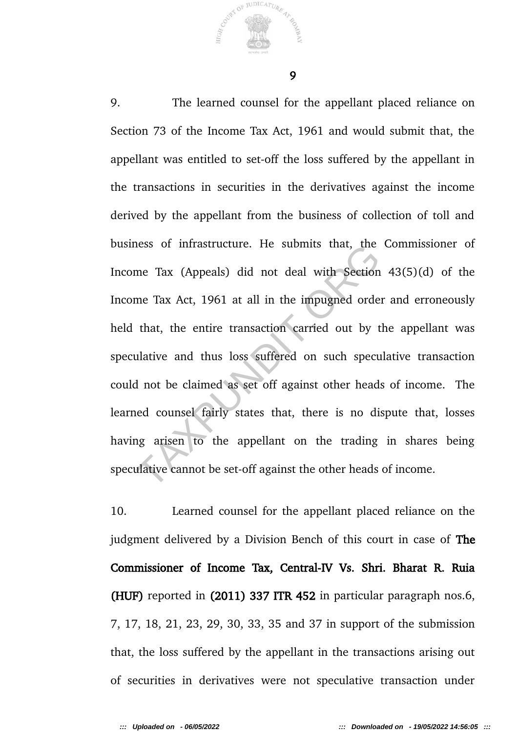9

OF JUDICATURE

9. The learned counsel for the appellant placed reliance on Section 73 of the Income Tax Act, 1961 and would submit that, the appellant was entitled to set-off the loss suffered by the appellant in the transactions in securities in the derivatives against the income derived by the appellant from the business of collection of toll and business of infrastructure. He submits that, the Commissioner of Income Tax (Appeals) did not deal with Section 43(5)(d) of the Income Tax Act, 1961 at all in the impugned order and erroneously held that, the entire transaction carried out by the appellant was speculative and thus loss suffered on such speculative transaction could not be claimed as set off against other heads of income. The learned counsel fairly states that, there is no dispute that, losses having arisen to the appellant on the trading in shares being speculative cannot be set-off against the other heads of income. ress of infrastructure. He subfilits that, the<br>me Tax Act, 1961 at all in the impugned orde<br>that, the entire transaction carried out by t<br>ulative and thus loss suffered on such spect<br>d not be claimed as set off against oth

10. Learned counsel for the appellant placed reliance on the judgment delivered by a Division Bench of this court in case of The Commissioner of Income Tax, Central-IV Vs. Shri. Bharat R. Ruia (HUF) reported in (2011) 337 ITR 452 in particular paragraph nos.6, 7, 17, 18, 21, 23, 29, 30, 33, 35 and 37 in support of the submission that, the loss suffered by the appellant in the transactions arising out of securities in derivatives were not speculative transaction under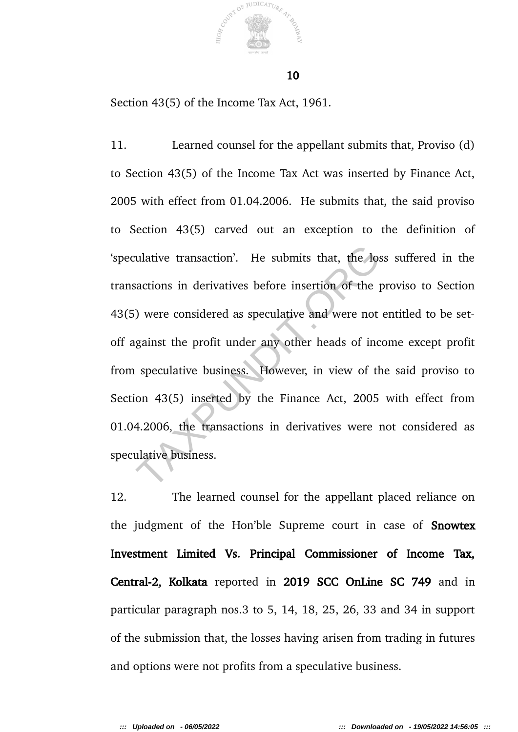

10

Section 43(5) of the Income Tax Act, 1961.

11. Learned counsel for the appellant submits that, Proviso (d) to Section 43(5) of the Income Tax Act was inserted by Finance Act, 2005 with effect from 01.04.2006. He submits that, the said proviso to Section 43(5) carved out an exception to the definition of 'speculative transaction'. He submits that, the loss suffered in the transactions in derivatives before insertion of the proviso to Section 43(5) were considered as speculative and were not entitled to be setoff against the profit under any other heads of income except profit from speculative business. However, in view of the said proviso to Section 43(5) inserted by the Finance Act, 2005 with effect from 01.04.2006, the transactions in derivatives were not considered as speculative business. ulative transaction'. He submits that, the logical<br>sactions in derivatives before insertion of the p<br>) were considered as speculative and were not<br>gainst the profit under any other heads of inc<br>speculative business. Howeve

12. The learned counsel for the appellant placed reliance on the judgment of the Hon'ble Supreme court in case of **Snowtex** Investment Limited Vs. Principal Commissioner of Income Tax, Central-2, Kolkata reported in 2019 SCC OnLine SC 749 and in particular paragraph nos.3 to 5, 14, 18, 25, 26, 33 and 34 in support of the submission that, the losses having arisen from trading in futures and options were not profits from a speculative business.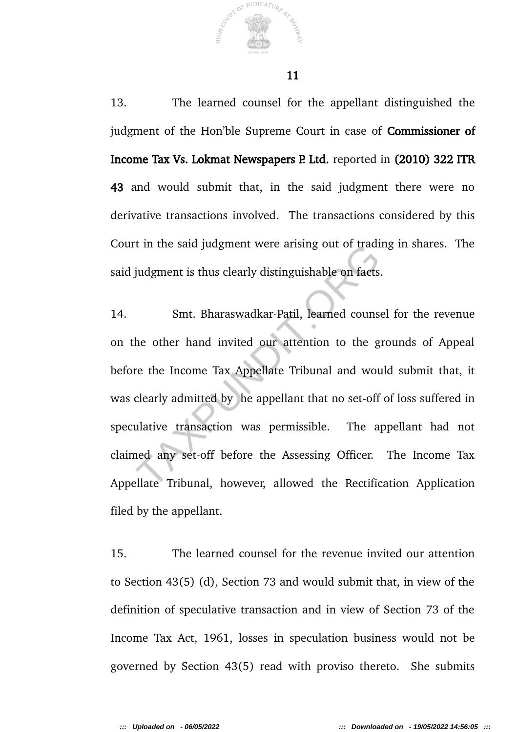13. The learned counsel for the appellant distinguished the judgment of the Hon'ble Supreme Court in case of Commissioner of Income Tax Vs. Lokmat Newspapers P. Ltd. reported in (2010) 322 ITR 43 and would submit that, in the said judgment there were no derivative transactions involved. The transactions considered by this Court in the said judgment were arising out of trading in shares. The said judgment is thus clearly distinguishable on facts.

14. Smt. Bharaswadkar-Patil, learned counsel for the revenue on the other hand invited our attention to the grounds of Appeal before the Income Tax Appellate Tribunal and would submit that, it was clearly admitted by he appellant that no set-off of loss suffered in speculative transaction was permissible. The appellant had not claimed any set-off before the Assessing Officer. The Income Tax Appellate Tribunal, however, allowed the Rectification Application filed by the appellant. The said judgment were arising out of traditional<br>judgment is thus clearly distinguishable on facts<br>Smt. Bharaswadkar-Patil, learned couns<br>he other hand invited our attention to the g<br>re the Income Tax Appellate Tribunal a

15. The learned counsel for the revenue invited our attention to Section 43(5) (d), Section 73 and would submit that, in view of the definition of speculative transaction and in view of Section 73 of the Income Tax Act, 1961, losses in speculation business would not be governed by Section 43(5) read with proviso thereto. She submits

JUDICATURA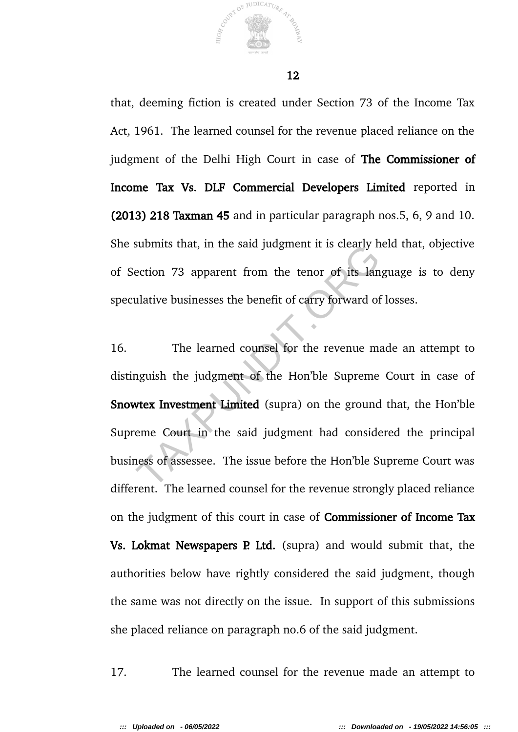

that, deeming fiction is created under Section 73 of the Income Tax Act, 1961. The learned counsel for the revenue placed reliance on the judgment of the Delhi High Court in case of The Commissioner of Income Tax Vs. DLF Commercial Developers Limited reported in (2013) 218 Taxman 45 and in particular paragraph nos.5, 6, 9 and 10. She submits that, in the said judgment it is clearly held that, objective of Section 73 apparent from the tenor of its language is to deny speculative businesses the benefit of carry forward of losses.

16. The learned counsel for the revenue made an attempt to distinguish the judgment of the Hon'ble Supreme Court in case of Snowtex Investment Limited (supra) on the ground that, the Hon'ble Supreme Court in the said judgment had considered the principal business of assessee. The issue before the Hon'ble Supreme Court was different. The learned counsel for the revenue strongly placed reliance on the judgment of this court in case of Commissioner of Income Tax **Vs. Lokmat Newspapers P. Ltd.** (supra) and would submit that, the authorities below have rightly considered the said judgment, though the same was not directly on the issue. In support of this submissions she placed reliance on paragraph no.6 of the said judgment. Submits that, in the said judgment it is clearly in<br>ection 73 apparent from the tenor of its land<br>ulative businesses the benefit of carry forward of<br>The learned counsel for the revenue magnish the judgment of the Hon'ble S

17. The learned counsel for the revenue made an attempt to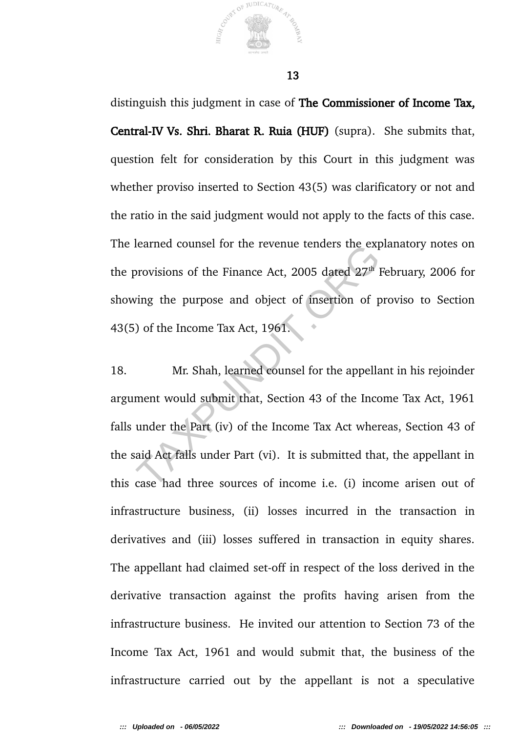

distinguish this judgment in case of The Commissioner of Income Tax, Central-IV Vs. Shri. Bharat R. Ruia (HUF) (supra). She submits that, question felt for consideration by this Court in this judgment was whether proviso inserted to Section 43(5) was clarificatory or not and the ratio in the said judgment would not apply to the facts of this case. The learned counsel for the revenue tenders the explanatory notes on the provisions of the Finance Act, 2005 dated  $27<sup>th</sup>$  February, 2006 for showing the purpose and object of insertion of proviso to Section 43(5) of the Income Tax Act, 1961.

18. Mr. Shah, learned counsel for the appellant in his rejoinder argument would submit that, Section 43 of the Income Tax Act, 1961 falls under the Part (iv) of the Income Tax Act whereas, Section 43 of the said Act falls under Part (vi). It is submitted that, the appellant in this case had three sources of income i.e. (i) income arisen out of infrastructure business, (ii) losses incurred in the transaction in derivatives and (iii) losses suffered in transaction in equity shares. The appellant had claimed set-off in respect of the loss derived in the derivative transaction against the profits having arisen from the infrastructure business. He invited our attention to Section 73 of the Income Tax Act, 1961 and would submit that, the business of the infrastructure carried out by the appellant is not a speculative rearned counser for the revenue tenders the expressions of the Finance Act, 2005 dated 27<sup>th</sup><br>ving the purpose and object of insertion of p<br>a) of the Income Tax Act, 1961.<br>Mr. Shah, learned counsel for the appellar<br>ment wo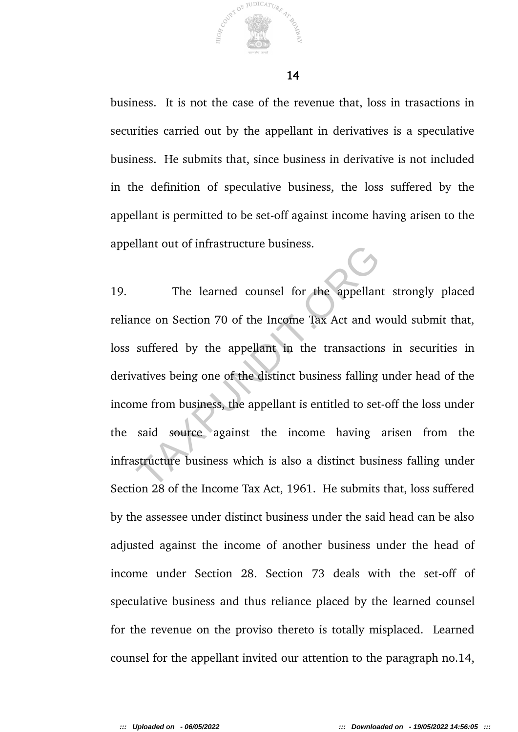

business. It is not the case of the revenue that, loss in trasactions in securities carried out by the appellant in derivatives is a speculative business. He submits that, since business in derivative is not included in the definition of speculative business, the loss suffered by the appellant is permitted to be set-off against income having arisen to the appellant out of infrastructure business.

19. The learned counsel for the appellant strongly placed reliance on Section 70 of the Income Tax Act and would submit that, loss suffered by the appellant in the transactions in securities in derivatives being one of the distinct business falling under head of the income from business, the appellant is entitled to set-off the loss under the said source against the income having arisen from the infrastructure business which is also a distinct business falling under Section 28 of the Income Tax Act, 1961. He submits that, loss suffered by the assessee under distinct business under the said head can be also adjusted against the income of another business under the head of income under Section 28. Section 73 deals with the set-off of speculative business and thus reliance placed by the learned counsel for the revenue on the proviso thereto is totally misplaced. Learned counsel for the appellant invited our attention to the paragraph no.14, The learned counsel for the appellant<br>nce on Section 70 of the Income Tax Act and v<br>suffered by the appellant in the transaction<br>varives being one of the distinct business falling<br>me from business, the appellant is entitle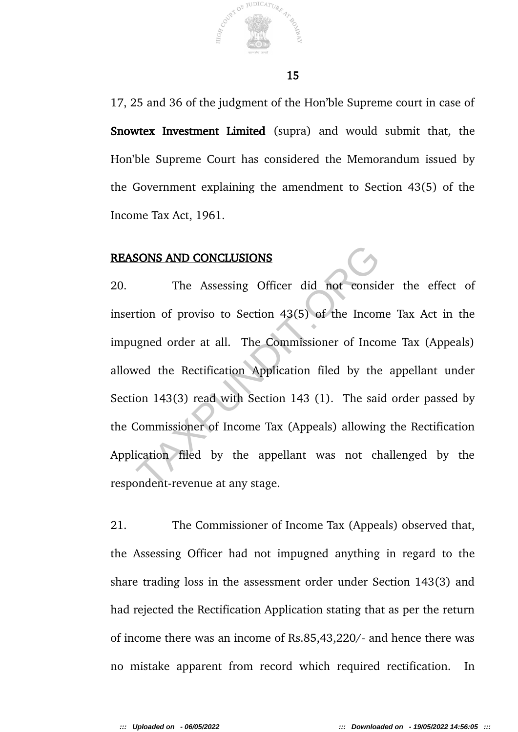

17, 25 and 36 of the judgment of the Hon'ble Supreme court in case of Snowtex Investment Limited (supra) and would submit that, the Hon'ble Supreme Court has considered the Memorandum issued by the Government explaining the amendment to Section 43(5) of the Income Tax Act, 1961.

#### REASONS AND CONCLUSIONS

20. The Assessing Officer did not consider the effect of insertion of proviso to Section 43(5) of the Income Tax Act in the impugned order at all. The Commissioner of Income Tax (Appeals) allowed the Rectification Application filed by the appellant under Section 143(3) read with Section 143 (1). The said order passed by the Commissioner of Income Tax (Appeals) allowing the Rectification Application filed by the appellant was not challenged by the respondent-revenue at any stage. SONS AND CONCLUSIONS<br>The Assessing Officer did not consider<br>tion of proviso to Section 43(5) of the Incon<br>ugned order at all. The Commissioner of Inco<br>wed the Rectification Application filed by the<br>on 143(3) read with Sect

21. The Commissioner of Income Tax (Appeals) observed that, the Assessing Officer had not impugned anything in regard to the share trading loss in the assessment order under Section 143(3) and had rejected the Rectification Application stating that as per the return of income there was an income of Rs.85,43,220/- and hence there was no mistake apparent from record which required rectification. In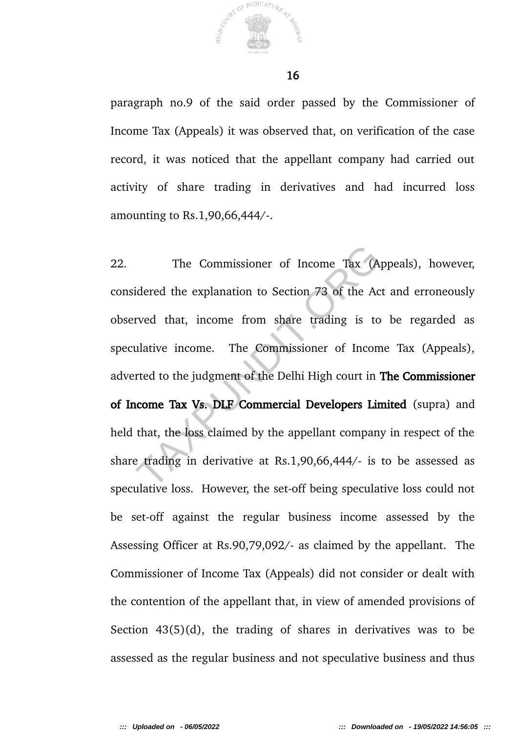

paragraph no.9 of the said order passed by the Commissioner of Income Tax (Appeals) it was observed that, on verification of the case record, it was noticed that the appellant company had carried out activity of share trading in derivatives and had incurred loss amounting to Rs.1,90,66,444/-.

22. The Commissioner of Income Tax (Appeals), however, considered the explanation to Section 73 of the Act and erroneously observed that, income from share trading is to be regarded as speculative income. The Commissioner of Income Tax (Appeals), adverted to the judgment of the Delhi High court in The Commissioner of Income Tax Vs. DLF Commercial Developers Limited (supra) and held that, the loss claimed by the appellant company in respect of the share trading in derivative at Rs.1,90,66,444/- is to be assessed as speculative loss. However, the set-off being speculative loss could not be set-off against the regular business income assessed by the Assessing Officer at Rs.90,79,092/- as claimed by the appellant. The Commissioner of Income Tax (Appeals) did not consider or dealt with the contention of the appellant that, in view of amended provisions of Section 43(5)(d), the trading of shares in derivatives was to be assessed as the regular business and not speculative business and thus The Commissioner of Income Tax (A<br>idered the explanation to Section 73 of the Ac<br>rved that, income from share trading is to<br>ulative income. The Commissioner of Incom<br>rted to the judgment of the Delhi High court in<br>icome Ta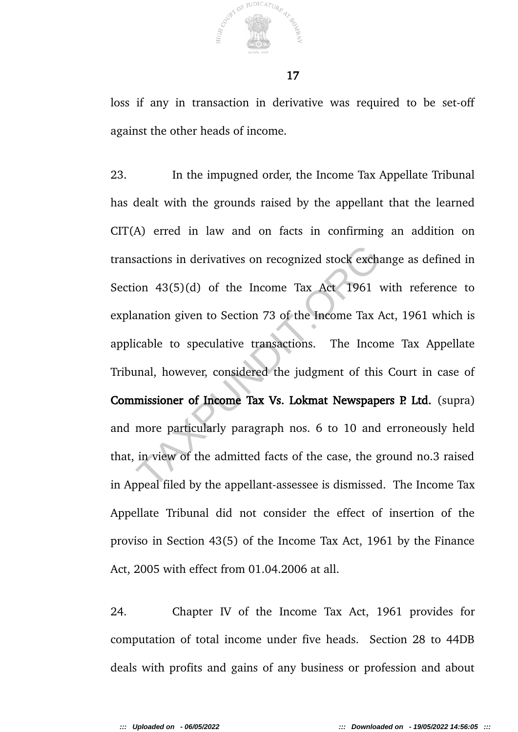

loss if any in transaction in derivative was required to be set-off against the other heads of income.

23. In the impugned order, the Income Tax Appellate Tribunal has dealt with the grounds raised by the appellant that the learned CIT(A) erred in law and on facts in confirming an addition on transactions in derivatives on recognized stock exchange as defined in Section 43(5)(d) of the Income Tax Act 1961 with reference to explanation given to Section 73 of the Income Tax Act, 1961 which is applicable to speculative transactions. The Income Tax Appellate Tribunal, however, considered the judgment of this Court in case of Commissioner of Income Tax Vs. Lokmat Newspapers P. Ltd. (supra) and more particularly paragraph nos. 6 to 10 and erroneously held that, in view of the admitted facts of the case, the ground no.3 raised in Appeal filed by the appellant-assessee is dismissed. The Income Tax Appellate Tribunal did not consider the effect of insertion of the proviso in Section 43(5) of the Income Tax Act, 1961 by the Finance Act, 2005 with effect from 01.04.2006 at all. Fractions in derivatives on recognized stock exch<br>on 43(5)(d) of the Income Tax Act 1961<br>anation given to Section 73 of the Income Tax  $\mu$ <br>icable to speculative transactions. The Incor<br>anal, however, considered the judgm

24. Chapter IV of the Income Tax Act, 1961 provides for computation of total income under five heads. Section 28 to 44DB deals with profits and gains of any business or profession and about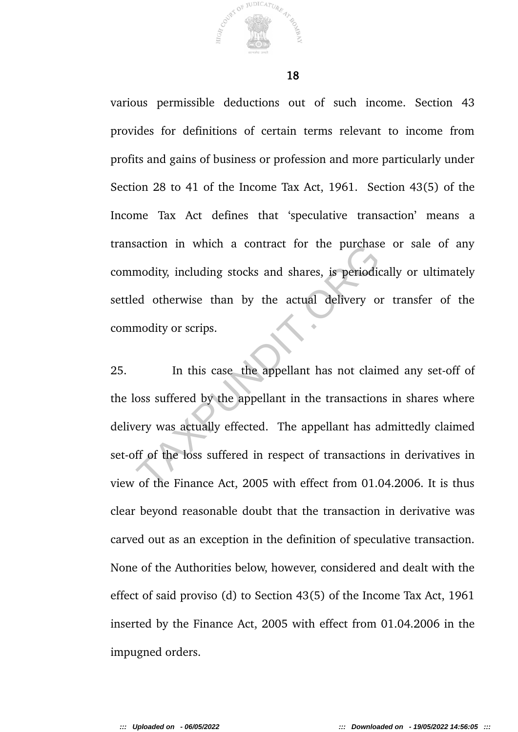

various permissible deductions out of such income. Section 43 provides for definitions of certain terms relevant to income from profits and gains of business or profession and more particularly under Section 28 to 41 of the Income Tax Act, 1961. Section 43(5) of the Income Tax Act defines that 'speculative transaction' means a transaction in which a contract for the purchase or sale of any commodity, including stocks and shares, is periodically or ultimately settled otherwise than by the actual delivery or transfer of the commodity or scrips.

25. In this case the appellant has not claimed any set-off of the loss suffered by the appellant in the transactions in shares where delivery was actually effected. The appellant has admittedly claimed set-off of the loss suffered in respect of transactions in derivatives in view of the Finance Act, 2005 with effect from 01.04.2006. It is thus clear beyond reasonable doubt that the transaction in derivative was carved out as an exception in the definition of speculative transaction. None of the Authorities below, however, considered and dealt with the effect of said proviso (d) to Section 43(5) of the Income Tax Act, 1961 inserted by the Finance Act, 2005 with effect from 01.04.2006 in the impugned orders. Modity, including stocks and shares, is periodical otherwise than by the actual delivery of<br>modity or scrips.<br>In this case the appellant has not claim<br>oss suffered by the appellant in the transaction<br>ery was actually effec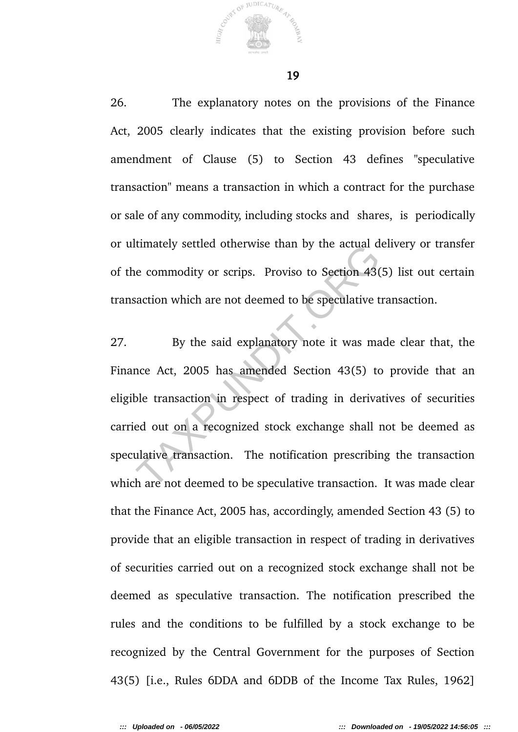26. The explanatory notes on the provisions of the Finance Act, 2005 clearly indicates that the existing provision before such amendment of Clause (5) to Section 43 defines "speculative transaction" means a transaction in which a contract for the purchase or sale of any commodity, including stocks and shares, is periodically or ultimately settled otherwise than by the actual delivery or transfer of the commodity or scrips. Proviso to Section 43(5) list out certain transaction which are not deemed to be speculative transaction.

27. By the said explanatory note it was made clear that, the Finance Act, 2005 has amended Section 43(5) to provide that an eligible transaction in respect of trading in derivatives of securities carried out on a recognized stock exchange shall not be deemed as speculative transaction. The notification prescribing the transaction which are not deemed to be speculative transaction. It was made clear that the Finance Act, 2005 has, accordingly, amended Section 43 (5) to provide that an eligible transaction in respect of trading in derivatives of securities carried out on a recognized stock exchange shall not be deemed as speculative transaction. The notification prescribed the rules and the conditions to be fulfilled by a stock exchange to be recognized by the Central Government for the purposes of Section 43(5) [i.e., Rules 6DDA and 6DDB of the Income Tax Rules, 1962] Extra different outerwise than by the actual different decommodity or scrips. Proviso to Section 43(saction which are not deemed to be speculative to By the said explanatory note it was mance Act, 2005 has amended Section

JUDICATURE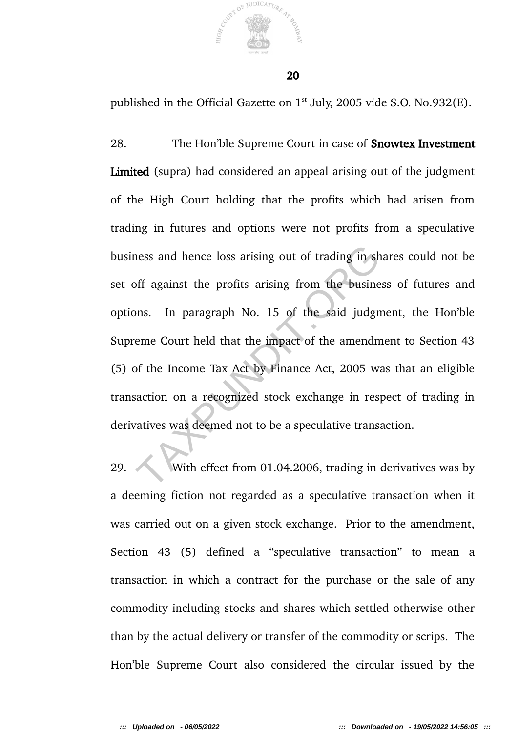

published in the Official Gazette on  $1<sup>st</sup>$  July, 2005 vide S.O. No.932(E).

28. The Hon'ble Supreme Court in case of Snowtex Investment Limited (supra) had considered an appeal arising out of the judgment of the High Court holding that the profits which had arisen from trading in futures and options were not profits from a speculative business and hence loss arising out of trading in shares could not be set off against the profits arising from the business of futures and options. In paragraph No. 15 of the said judgment, the Hon'ble Supreme Court held that the impact of the amendment to Section 43 (5) of the Income Tax Act by Finance Act, 2005 was that an eligible transaction on a recognized stock exchange in respect of trading in derivatives was deemed not to be a speculative transaction. ness and hence loss arising out of trading in shoff against the profits arising from the busine<br>ons. In paragraph No. 15 of the said judgreme Court held that the impact of the amendn<br>of the Income Tax Act by Finance Act, 2

29. With effect from 01.04.2006, trading in derivatives was by a deeming fiction not regarded as a speculative transaction when it was carried out on a given stock exchange. Prior to the amendment, Section 43 (5) defined a "speculative transaction" to mean a transaction in which a contract for the purchase or the sale of any commodity including stocks and shares which settled otherwise other than by the actual delivery or transfer of the commodity or scrips. The Hon'ble Supreme Court also considered the circular issued by the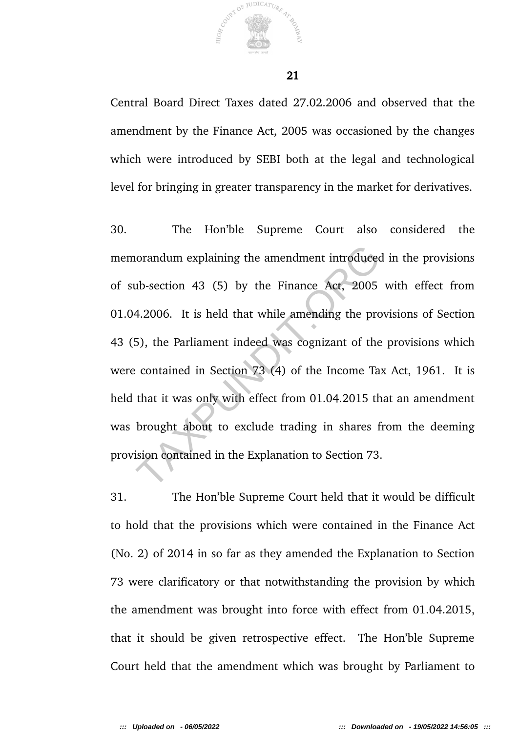

Central Board Direct Taxes dated 27.02.2006 and observed that the amendment by the Finance Act, 2005 was occasioned by the changes which were introduced by SEBI both at the legal and technological level for bringing in greater transparency in the market for derivatives.

30. The Hon'ble Supreme Court also considered the memorandum explaining the amendment introduced in the provisions of sub-section 43 (5) by the Finance Act, 2005 with effect from 01.04.2006. It is held that while amending the provisions of Section 43 (5), the Parliament indeed was cognizant of the provisions which were contained in Section 73 (4) of the Income Tax Act, 1961. It is held that it was only with effect from 01.04.2015 that an amendment was brought about to exclude trading in shares from the deeming provision contained in the Explanation to Section 73. orandum explaining the amendment introduced<br>ub-section 43 (5) by the Finance Act, 2005<br>4.2006. It is held that while amending the pro<br>5), the Parliament indeed was cognizant of the<br>contained in Section 73 (4) of the Income

31. The Hon'ble Supreme Court held that it would be difficult to hold that the provisions which were contained in the Finance Act (No. 2) of 2014 in so far as they amended the Explanation to Section 73 were clarificatory or that notwithstanding the provision by which the amendment was brought into force with effect from 01.04.2015, that it should be given retrospective effect. The Hon'ble Supreme Court held that the amendment which was brought by Parliament to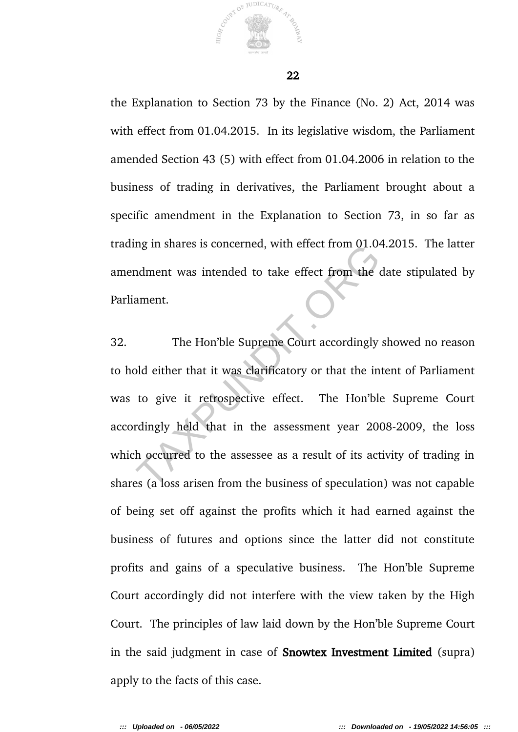

the Explanation to Section 73 by the Finance (No. 2) Act, 2014 was with effect from 01.04.2015. In its legislative wisdom, the Parliament amended Section 43 (5) with effect from 01.04.2006 in relation to the business of trading in derivatives, the Parliament brought about a specific amendment in the Explanation to Section 73, in so far as trading in shares is concerned, with effect from 01.04.2015. The latter amendment was intended to take effect from the date stipulated by Parliament.

32. The Hon'ble Supreme Court accordingly showed no reason to hold either that it was clarificatory or that the intent of Parliament was to give it retrospective effect. The Hon'ble Supreme Court accordingly held that in the assessment year 2008-2009, the loss which occurred to the assessee as a result of its activity of trading in shares (a loss arisen from the business of speculation) was not capable of being set off against the profits which it had earned against the business of futures and options since the latter did not constitute profits and gains of a speculative business. The Hon'ble Supreme Court accordingly did not interfere with the view taken by the High Court. The principles of law laid down by the Hon'ble Supreme Court in the said judgment in case of Snowtex Investment Limited (supra) apply to the facts of this case. In the states is concerned, while enect from the dament.<br>
The Hon'ble Supreme Court accordingly<br>
Did either that it was clarificatory or that the in<br>
to give it retrospective effect. The Hon'ble<br>
rdingly held that in the a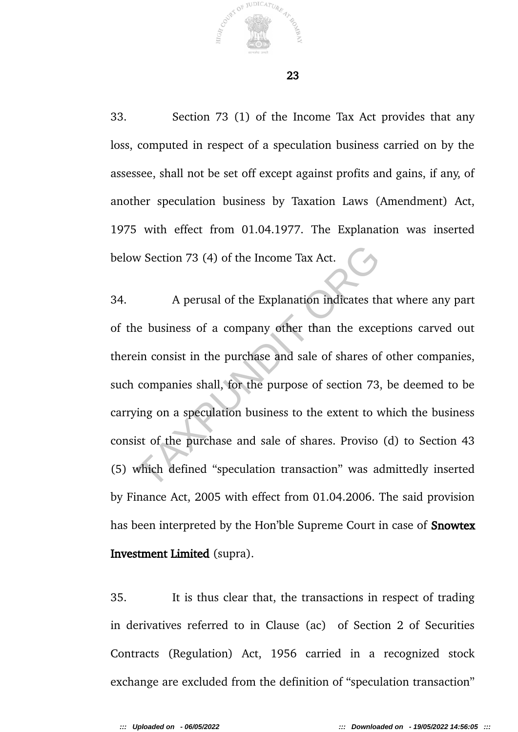

JUDICATURE

33. Section 73 (1) of the Income Tax Act provides that any loss, computed in respect of a speculation business carried on by the assessee, shall not be set off except against profits and gains, if any, of another speculation business by Taxation Laws (Amendment) Act, 1975 with effect from 01.04.1977. The Explanation was inserted below Section 73 (4) of the Income Tax Act.

34. A perusal of the Explanation indicates that where any part of the business of a company other than the exceptions carved out therein consist in the purchase and sale of shares of other companies, such companies shall, for the purpose of section 73, be deemed to be carrying on a speculation business to the extent to which the business consist of the purchase and sale of shares. Proviso (d) to Section 43 (5) which defined "speculation transaction" was admittedly inserted by Finance Act, 2005 with effect from 01.04.2006. The said provision has been interpreted by the Hon'ble Supreme Court in case of **Snowtex** Investment Limited (supra). w Section 73 (4) of the Income Tax Act.<br>A perusal of the Explanation indicates the<br>business of a company other than the exce<br>ein consist in the purchase and sale of shares of<br>companies shall, for the purpose of section 73<br>

35. It is thus clear that, the transactions in respect of trading in derivatives referred to in Clause (ac) of Section 2 of Securities Contracts (Regulation) Act, 1956 carried in a recognized stock exchange are excluded from the definition of "speculation transaction"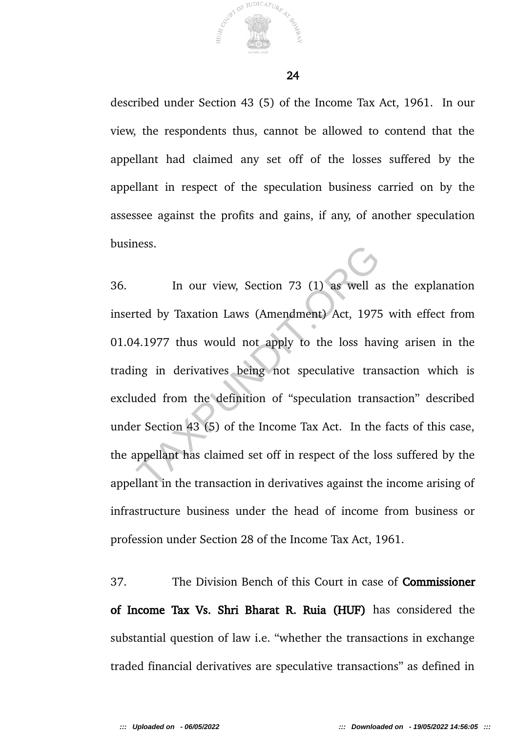

described under Section 43 (5) of the Income Tax Act, 1961. In our view, the respondents thus, cannot be allowed to contend that the appellant had claimed any set off of the losses suffered by the appellant in respect of the speculation business carried on by the assessee against the profits and gains, if any, of another speculation business.

36. In our view, Section 73 (1) as well as the explanation inserted by Taxation Laws (Amendment) Act, 1975 with effect from 01.04.1977 thus would not apply to the loss having arisen in the trading in derivatives being not speculative transaction which is excluded from the definition of "speculation transaction" described under Section 43 (5) of the Income Tax Act. In the facts of this case, the appellant has claimed set off in respect of the loss suffered by the appellant in the transaction in derivatives against the income arising of infrastructure business under the head of income from business or profession under Section 28 of the Income Tax Act, 1961. In our view, Section 73 (1) as well a<br>ted by Taxation Laws (Amendment) Act, 1975<br>4.1977 thus would not apply to the loss hav<br>ng in derivatives being not speculative tran<br>ided from the definition of "speculation trans<br>r Sec

37. The Division Bench of this Court in case of Commissioner of Income Tax Vs. Shri Bharat R. Ruia (HUF) has considered the substantial question of law i.e. "whether the transactions in exchange traded financial derivatives are speculative transactions" as defined in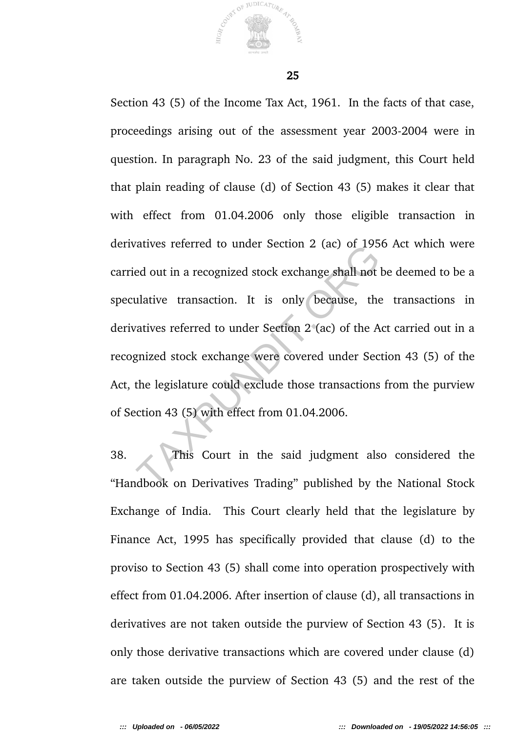

25

Section 43 (5) of the Income Tax Act, 1961. In the facts of that case, proceedings arising out of the assessment year 2003-2004 were in question. In paragraph No. 23 of the said judgment, this Court held that plain reading of clause (d) of Section 43 (5) makes it clear that with effect from 01.04.2006 only those eligible transaction in derivatives referred to under Section 2 (ac) of 1956 Act which were carried out in a recognized stock exchange shall not be deemed to be a speculative transaction. It is only because, the transactions in derivatives referred to under Section 2 (ac) of the Act carried out in a recognized stock exchange were covered under Section 43 (5) of the Act, the legislature could exclude those transactions from the purview of Section 43 (5) with effect from 01.04.2006. Attives referred to under section 2 (ac) of 1953<br>ed out in a recognized stock exchange shall not<br>ulative transaction. It is only because, the<br>vatives referred to under Section 2 (ac) of the A<br>gnized stock exchange were cov

38. This Court in the said judgment also considered the "Handbook on Derivatives Trading" published by the National Stock Exchange of India. This Court clearly held that the legislature by Finance Act, 1995 has specifically provided that clause (d) to the proviso to Section 43 (5) shall come into operation prospectively with effect from 01.04.2006. After insertion of clause (d), all transactions in derivatives are not taken outside the purview of Section 43 (5). It is only those derivative transactions which are covered under clause (d) are taken outside the purview of Section 43 (5) and the rest of the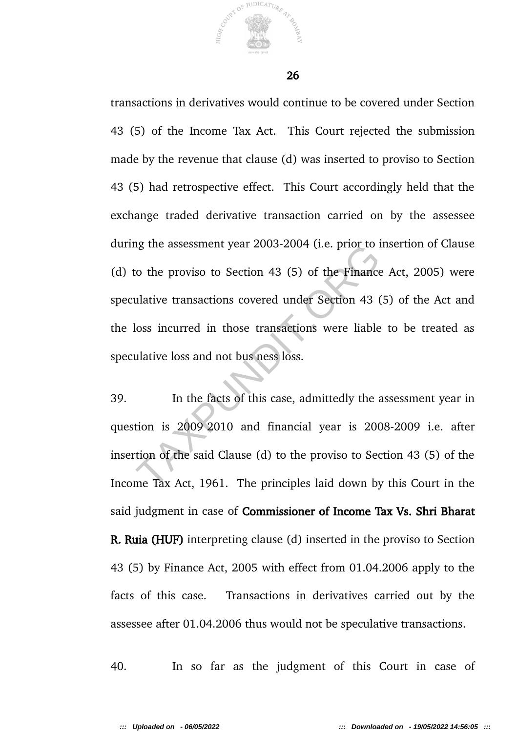

transactions in derivatives would continue to be covered under Section 43 (5) of the Income Tax Act. This Court rejected the submission made by the revenue that clause (d) was inserted to proviso to Section 43 (5) had retrospective effect. This Court accordingly held that the exchange traded derivative transaction carried on by the assessee during the assessment year 2003-2004 (i.e. prior to insertion of Clause (d) to the proviso to Section 43 (5) of the Finance Act, 2005) were speculative transactions covered under Section 43 (5) of the Act and the loss incurred in those transactions were liable to be treated as speculative loss and not bus ness loss. Ig the assessment year 2003-2004 (i.e. prior to f<br>co the proviso to Section 43 (5) of the Finance<br>ulative transactions covered under Section 43 (<br>loss incurred in those transactions were liable<br>ulative loss and not bus nes

39. In the facts of this case, admittedly the assessment year in question is 2009 2010 and financial year is 2008-2009 i.e. after insertion of the said Clause (d) to the proviso to Section 43 (5) of the Income Tax Act, 1961. The principles laid down by this Court in the said judgment in case of Commissioner of Income Tax Vs. Shri Bharat R. Ruia (HUF) interpreting clause (d) inserted in the proviso to Section 43 (5) by Finance Act, 2005 with effect from 01.04.2006 apply to the facts of this case. Transactions in derivatives carried out by the assessee after 01.04.2006 thus would not be speculative transactions.

40. In so far as the judgment of this Court in case of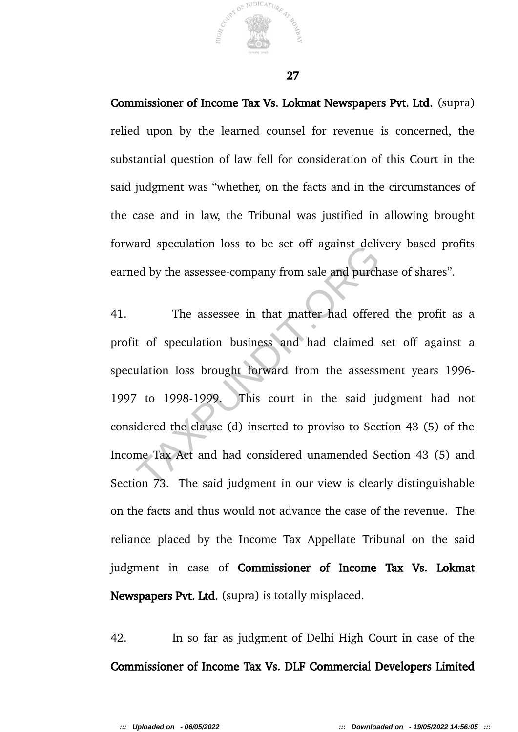Commissioner of Income Tax Vs. Lokmat Newspapers Pvt. Ltd. (supra) relied upon by the learned counsel for revenue is concerned, the substantial question of law fell for consideration of this Court in the said judgment was "whether, on the facts and in the circumstances of the case and in law, the Tribunal was justified in allowing brought forward speculation loss to be set off against delivery based profits earned by the assessee-company from sale and purchase of shares".

41. The assessee in that matter had offered the profit as a profit of speculation business and had claimed set off against a speculation loss brought forward from the assessment years 1996- 1997 to 1998-1999. This court in the said judgment had not considered the clause (d) inserted to proviso to Section 43 (5) of the Income Tax Act and had considered unamended Section 43 (5) and Section 73. The said judgment in our view is clearly distinguishable on the facts and thus would not advance the case of the revenue. The reliance placed by the Income Tax Appellate Tribunal on the said judgment in case of Commissioner of Income Tax Vs. Lokmat Newspapers Pvt. Ltd. (supra) is totally misplaced. and speculation loss to be set on against dent<br>ed by the assessee-company from sale and purch<br>The assessee in that matter had offere<br>t of speculation business and had claimed<br>ulation loss brought forward from the assess:<br>t

42. In so far as judgment of Delhi High Court in case of the Commissioner of Income Tax Vs. DLF Commercial Developers Limited

JUDICATURE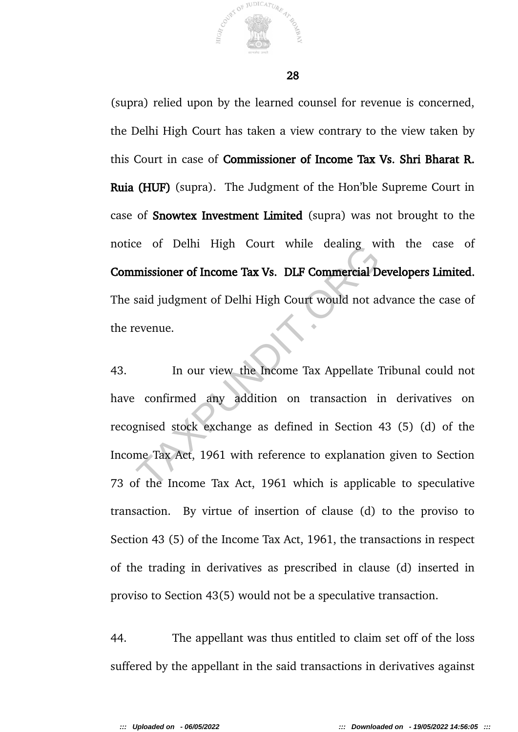

(supra) relied upon by the learned counsel for revenue is concerned, the Delhi High Court has taken a view contrary to the view taken by this Court in case of Commissioner of Income Tax Vs. Shri Bharat R. Ruia (HUF) (supra). The Judgment of the Hon'ble Supreme Court in case of Snowtex Investment Limited (supra) was not brought to the notice of Delhi High Court while dealing with the case of Commissioner of Income Tax Vs. DLF Commercial Developers Limited. The said judgment of Delhi High Court would not advance the case of the revenue.

43. In our view the Income Tax Appellate Tribunal could not have confirmed any addition on transaction in derivatives on recognised stock exchange as defined in Section 43 (5) (d) of the Income Tax Act, 1961 with reference to explanation given to Section 73 of the Income Tax Act, 1961 which is applicable to speculative transaction. By virtue of insertion of clause (d) to the proviso to Section 43 (5) of the Income Tax Act, 1961, the transactions in respect of the trading in derivatives as prescribed in clause (d) inserted in proviso to Section 43(5) would not be a speculative transaction. The Union of Income Tax Vs. DLF Commercial D<br>Said judgment of Delhi High Court would not a<br>evenue.<br>In our view the Income Tax Appellate<br>Confirmed any addition on transaction is<br>gnised stock exchange as defined in Section<br>m

44. The appellant was thus entitled to claim set off of the loss suffered by the appellant in the said transactions in derivatives against